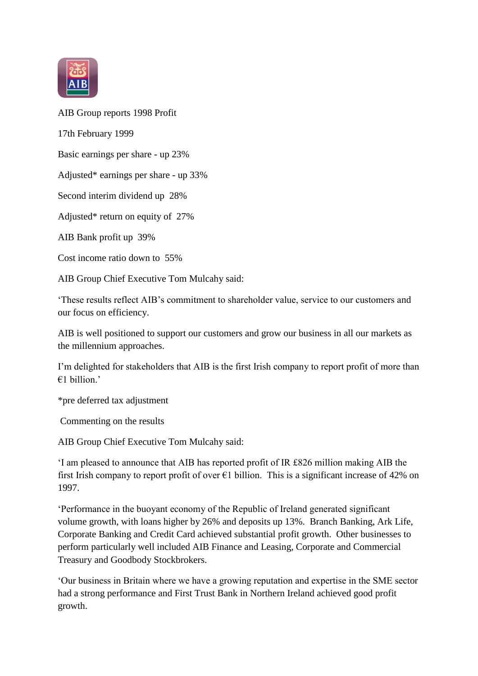

AIB Group reports 1998 Profit

17th February 1999

Basic earnings per share - up 23%

Adjusted\* earnings per share - up 33%

Second interim dividend up 28%

Adjusted\* return on equity of 27%

AIB Bank profit up 39%

Cost income ratio down to 55%

AIB Group Chief Executive Tom Mulcahy said:

'These results reflect AIB's commitment to shareholder value, service to our customers and our focus on efficiency.

AIB is well positioned to support our customers and grow our business in all our markets as the millennium approaches.

I'm delighted for stakeholders that AIB is the first Irish company to report profit of more than  $€1$  billion.'

\*pre deferred tax adjustment

Commenting on the results

AIB Group Chief Executive Tom Mulcahy said:

'I am pleased to announce that AIB has reported profit of IR £826 million making AIB the first Irish company to report profit of over  $\epsilon$ 1 billion. This is a significant increase of 42% on 1997.

'Performance in the buoyant economy of the Republic of Ireland generated significant volume growth, with loans higher by 26% and deposits up 13%. Branch Banking, Ark Life, Corporate Banking and Credit Card achieved substantial profit growth. Other businesses to perform particularly well included AIB Finance and Leasing, Corporate and Commercial Treasury and Goodbody Stockbrokers.

'Our business in Britain where we have a growing reputation and expertise in the SME sector had a strong performance and First Trust Bank in Northern Ireland achieved good profit growth.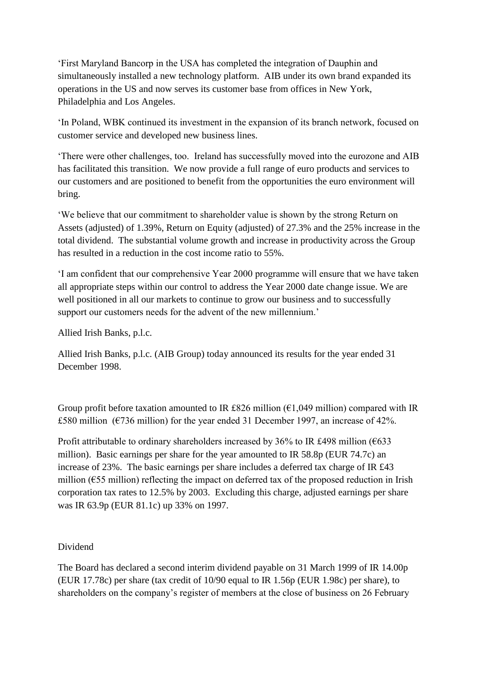'First Maryland Bancorp in the USA has completed the integration of Dauphin and simultaneously installed a new technology platform. AIB under its own brand expanded its operations in the US and now serves its customer base from offices in New York, Philadelphia and Los Angeles.

'In Poland, WBK continued its investment in the expansion of its branch network, focused on customer service and developed new business lines.

'There were other challenges, too. Ireland has successfully moved into the eurozone and AIB has facilitated this transition. We now provide a full range of euro products and services to our customers and are positioned to benefit from the opportunities the euro environment will bring.

'We believe that our commitment to shareholder value is shown by the strong Return on Assets (adjusted) of 1.39%, Return on Equity (adjusted) of 27.3% and the 25% increase in the total dividend. The substantial volume growth and increase in productivity across the Group has resulted in a reduction in the cost income ratio to 55%.

'I am confident that our comprehensive Year 2000 programme will ensure that we have taken all appropriate steps within our control to address the Year 2000 date change issue. We are well positioned in all our markets to continue to grow our business and to successfully support our customers needs for the advent of the new millennium.'

Allied Irish Banks, p.l.c.

Allied Irish Banks, p.l.c. (AIB Group) today announced its results for the year ended 31 December 1998.

Group profit before taxation amounted to IR £826 million ( $\epsilon$ 1,049 million) compared with IR £580 million ( $\epsilon$ 736 million) for the year ended 31 December 1997, an increase of 42%.

Profit attributable to ordinary shareholders increased by 36% to IR £498 million ( $\epsilon$ 633 million). Basic earnings per share for the year amounted to IR 58.8p (EUR 74.7c) an increase of 23%. The basic earnings per share includes a deferred tax charge of IR £43 million ( $€55$  million) reflecting the impact on deferred tax of the proposed reduction in Irish corporation tax rates to 12.5% by 2003. Excluding this charge, adjusted earnings per share was IR 63.9p (EUR 81.1c) up 33% on 1997.

## Dividend

The Board has declared a second interim dividend payable on 31 March 1999 of IR 14.00p (EUR 17.78c) per share (tax credit of 10/90 equal to IR 1.56p (EUR 1.98c) per share), to shareholders on the company's register of members at the close of business on 26 February